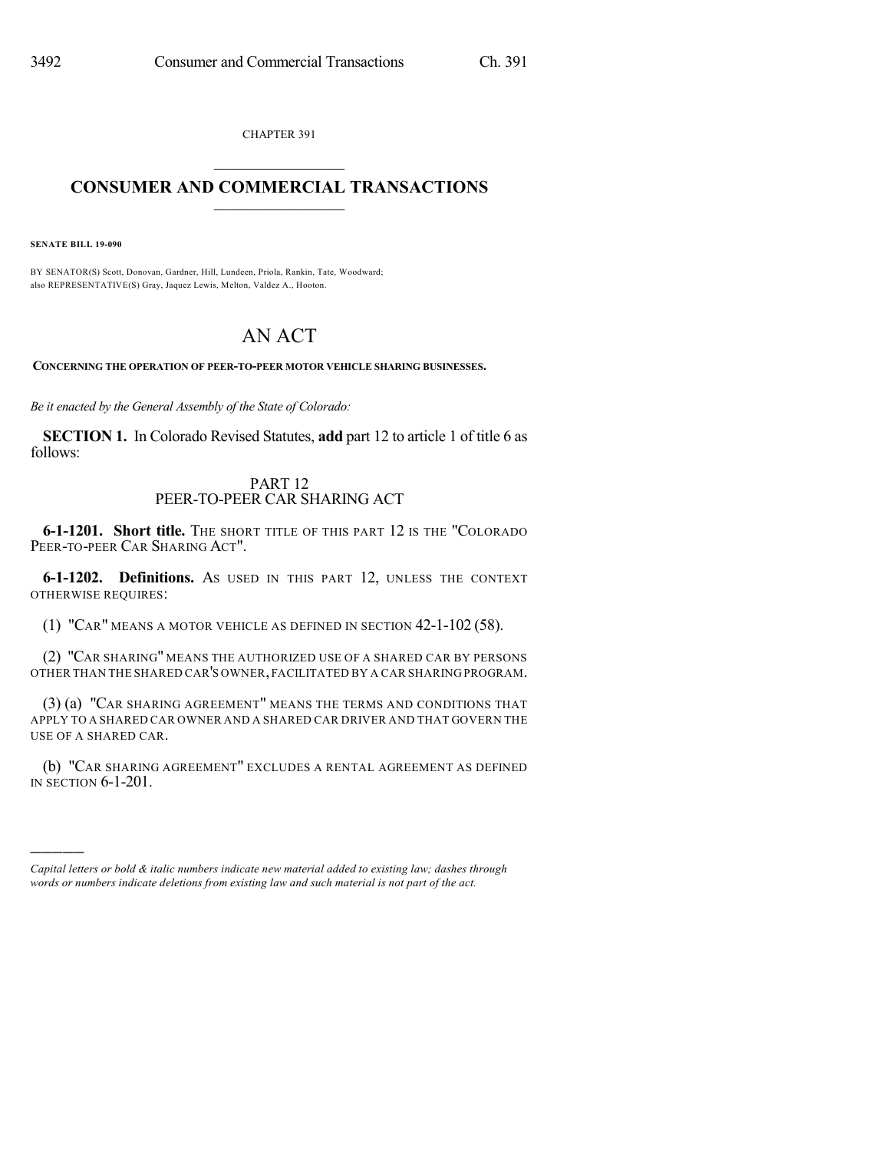CHAPTER 391

## $\overline{\phantom{a}}$  . The set of the set of the set of the set of the set of the set of the set of the set of the set of the set of the set of the set of the set of the set of the set of the set of the set of the set of the set o **CONSUMER AND COMMERCIAL TRANSACTIONS**  $\frac{1}{\sqrt{2}}$  ,  $\frac{1}{\sqrt{2}}$  ,  $\frac{1}{\sqrt{2}}$  ,  $\frac{1}{\sqrt{2}}$  ,  $\frac{1}{\sqrt{2}}$

**SENATE BILL 19-090**

)))))

BY SENATOR(S) Scott, Donovan, Gardner, Hill, Lundeen, Priola, Rankin, Tate, Woodward; also REPRESENTATIVE(S) Gray, Jaquez Lewis, Melton, Valdez A., Hooton.

## AN ACT

**CONCERNING THE OPERATION OF PEER-TO-PEER MOTOR VEHICLE SHARING BUSINESSES.**

*Be it enacted by the General Assembly of the State of Colorado:*

**SECTION 1.** In Colorado Revised Statutes, **add** part 12 to article 1 of title 6 as follows:

## PART 12 PEER-TO-PEER CAR SHARING ACT

**6-1-1201. Short title.** THE SHORT TITLE OF THIS PART 12 IS THE "COLORADO PEER-TO-PEER CAR SHARING ACT".

**6-1-1202. Definitions.** AS USED IN THIS PART 12, UNLESS THE CONTEXT OTHERWISE REQUIRES:

(1) "CAR" MEANS A MOTOR VEHICLE AS DEFINED IN SECTION 42-1-102 (58).

(2) "CAR SHARING" MEANS THE AUTHORIZED USE OF A SHARED CAR BY PERSONS OTHER THAN THE SHARED CAR'S OWNER,FACILITATED BY A CAR SHARING PROGRAM.

(3) (a) "CAR SHARING AGREEMENT" MEANS THE TERMS AND CONDITIONS THAT APPLY TO A SHARED CAR OWNER AND A SHARED CAR DRIVER AND THAT GOVERN THE USE OF A SHARED CAR.

(b) "CAR SHARING AGREEMENT" EXCLUDES A RENTAL AGREEMENT AS DEFINED IN SECTION 6-1-201.

*Capital letters or bold & italic numbers indicate new material added to existing law; dashes through words or numbers indicate deletions from existing law and such material is not part of the act.*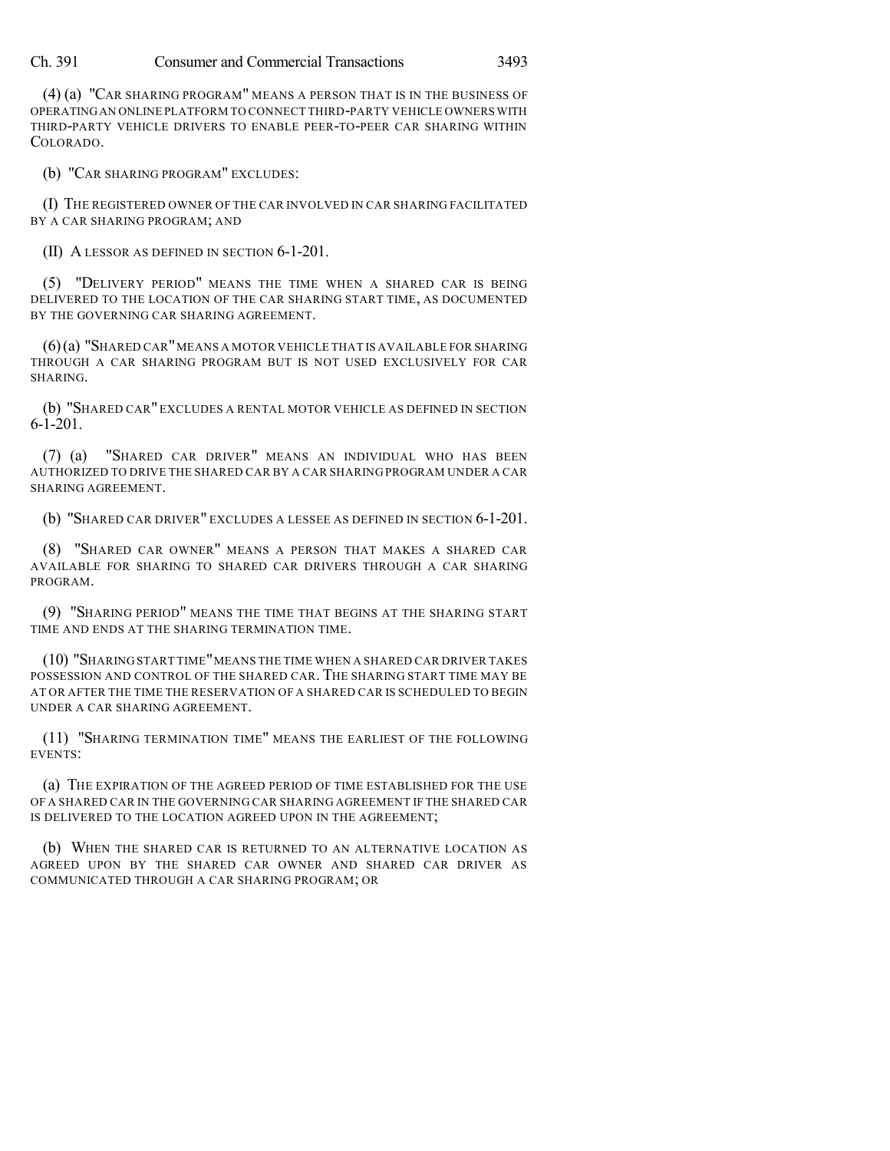Ch. 391 Consumer and Commercial Transactions 3493

(4) (a) "CAR SHARING PROGRAM" MEANS A PERSON THAT IS IN THE BUSINESS OF OPERATINGAN ONLINE PLATFORM TO CONNECT THIRD-PARTY VEHICLE OWNERS WITH THIRD-PARTY VEHICLE DRIVERS TO ENABLE PEER-TO-PEER CAR SHARING WITHIN COLORADO.

(b) "CAR SHARING PROGRAM" EXCLUDES:

(I) THE REGISTERED OWNER OF THE CAR INVOLVED IN CAR SHARING FACILITATED BY A CAR SHARING PROGRAM; AND

(II) A LESSOR AS DEFINED IN SECTION 6-1-201.

(5) "DELIVERY PERIOD" MEANS THE TIME WHEN A SHARED CAR IS BEING DELIVERED TO THE LOCATION OF THE CAR SHARING START TIME, AS DOCUMENTED BY THE GOVERNING CAR SHARING AGREEMENT.

(6)(a) "SHARED CAR"MEANS A MOTOR VEHICLE THAT IS AVAILABLE FOR SHARING THROUGH A CAR SHARING PROGRAM BUT IS NOT USED EXCLUSIVELY FOR CAR SHARING.

(b) "SHARED CAR" EXCLUDES A RENTAL MOTOR VEHICLE AS DEFINED IN SECTION 6-1-201.

(7) (a) "SHARED CAR DRIVER" MEANS AN INDIVIDUAL WHO HAS BEEN AUTHORIZED TO DRIVE THE SHARED CAR BY A CAR SHARING PROGRAM UNDER A CAR SHARING AGREEMENT.

(b) "SHARED CAR DRIVER" EXCLUDES A LESSEE AS DEFINED IN SECTION 6-1-201.

(8) "SHARED CAR OWNER" MEANS A PERSON THAT MAKES A SHARED CAR AVAILABLE FOR SHARING TO SHARED CAR DRIVERS THROUGH A CAR SHARING PROGRAM.

(9) "SHARING PERIOD" MEANS THE TIME THAT BEGINS AT THE SHARING START TIME AND ENDS AT THE SHARING TERMINATION TIME.

(10) "SHARING START TIME"MEANS THE TIME WHEN A SHARED CAR DRIVER TAKES POSSESSION AND CONTROL OF THE SHARED CAR. THE SHARING START TIME MAY BE AT OR AFTER THE TIME THE RESERVATION OF A SHARED CAR IS SCHEDULED TO BEGIN UNDER A CAR SHARING AGREEMENT.

(11) "SHARING TERMINATION TIME" MEANS THE EARLIEST OF THE FOLLOWING EVENTS:

(a) THE EXPIRATION OF THE AGREED PERIOD OF TIME ESTABLISHED FOR THE USE OF A SHARED CAR IN THE GOVERNING CAR SHARING AGREEMENT IF THE SHARED CAR IS DELIVERED TO THE LOCATION AGREED UPON IN THE AGREEMENT;

(b) WHEN THE SHARED CAR IS RETURNED TO AN ALTERNATIVE LOCATION AS AGREED UPON BY THE SHARED CAR OWNER AND SHARED CAR DRIVER AS COMMUNICATED THROUGH A CAR SHARING PROGRAM; OR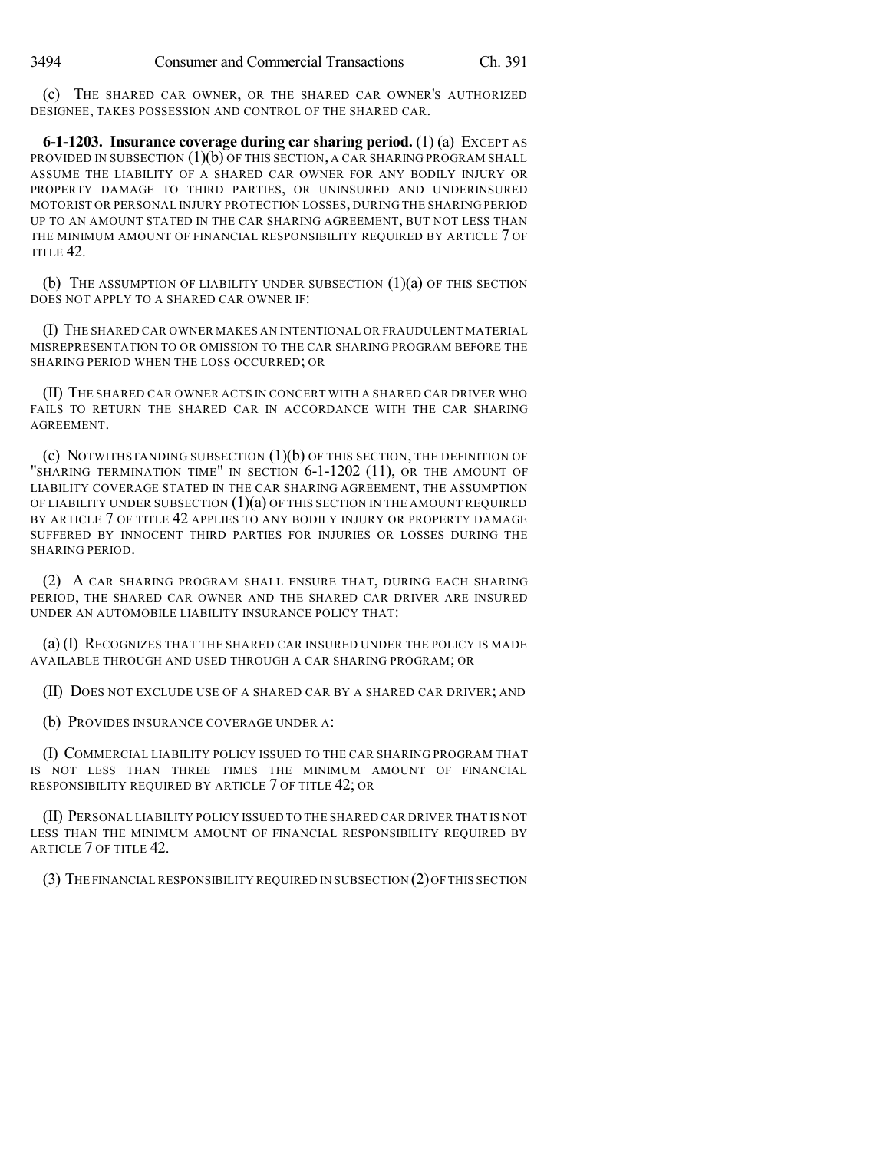(c) THE SHARED CAR OWNER, OR THE SHARED CAR OWNER'S AUTHORIZED DESIGNEE, TAKES POSSESSION AND CONTROL OF THE SHARED CAR.

**6-1-1203. Insurance coverage during car sharing period.** (1) (a) EXCEPT AS PROVIDED IN SUBSECTION  $(1)(b)$  OF THIS SECTION, A CAR SHARING PROGRAM SHALL ASSUME THE LIABILITY OF A SHARED CAR OWNER FOR ANY BODILY INJURY OR PROPERTY DAMAGE TO THIRD PARTIES, OR UNINSURED AND UNDERINSURED MOTORIST OR PERSONAL INJURY PROTECTION LOSSES, DURING THE SHARING PERIOD UP TO AN AMOUNT STATED IN THE CAR SHARING AGREEMENT, BUT NOT LESS THAN THE MINIMUM AMOUNT OF FINANCIAL RESPONSIBILITY REQUIRED BY ARTICLE 7 OF TITLE 42.

(b) THE ASSUMPTION OF LIABILITY UNDER SUBSECTION  $(1)(a)$  of this section DOES NOT APPLY TO A SHARED CAR OWNER IF:

(I) THE SHARED CAR OWNER MAKES AN INTENTIONAL OR FRAUDULENT MATERIAL MISREPRESENTATION TO OR OMISSION TO THE CAR SHARING PROGRAM BEFORE THE SHARING PERIOD WHEN THE LOSS OCCURRED; OR

(II) THE SHARED CAR OWNER ACTS IN CONCERT WITH A SHARED CAR DRIVER WHO FAILS TO RETURN THE SHARED CAR IN ACCORDANCE WITH THE CAR SHARING AGREEMENT.

(c) NOTWITHSTANDING SUBSECTION (1)(b) OF THIS SECTION, THE DEFINITION OF "SHARING TERMINATION TIME" IN SECTION 6-1-1202 (11), OR THE AMOUNT OF LIABILITY COVERAGE STATED IN THE CAR SHARING AGREEMENT, THE ASSUMPTION OF LIABILITY UNDER SUBSECTION (1)(a) OF THIS SECTION IN THE AMOUNT REQUIRED BY ARTICLE 7 OF TITLE 42 APPLIES TO ANY BODILY INJURY OR PROPERTY DAMAGE SUFFERED BY INNOCENT THIRD PARTIES FOR INJURIES OR LOSSES DURING THE SHARING PERIOD.

(2) A CAR SHARING PROGRAM SHALL ENSURE THAT, DURING EACH SHARING PERIOD, THE SHARED CAR OWNER AND THE SHARED CAR DRIVER ARE INSURED UNDER AN AUTOMOBILE LIABILITY INSURANCE POLICY THAT:

(a) (I) RECOGNIZES THAT THE SHARED CAR INSURED UNDER THE POLICY IS MADE AVAILABLE THROUGH AND USED THROUGH A CAR SHARING PROGRAM; OR

(II) DOES NOT EXCLUDE USE OF A SHARED CAR BY A SHARED CAR DRIVER; AND

(b) PROVIDES INSURANCE COVERAGE UNDER A:

(I) COMMERCIAL LIABILITY POLICY ISSUED TO THE CAR SHARING PROGRAM THAT IS NOT LESS THAN THREE TIMES THE MINIMUM AMOUNT OF FINANCIAL RESPONSIBILITY REQUIRED BY ARTICLE 7 OF TITLE 42; OR

(II) PERSONAL LIABILITY POLICY ISSUED TO THE SHARED CAR DRIVER THAT IS NOT LESS THAN THE MINIMUM AMOUNT OF FINANCIAL RESPONSIBILITY REQUIRED BY ARTICLE 7 OF TITLE 42.

(3) THE FINANCIAL RESPONSIBILITY REQUIRED IN SUBSECTION (2)OF THIS SECTION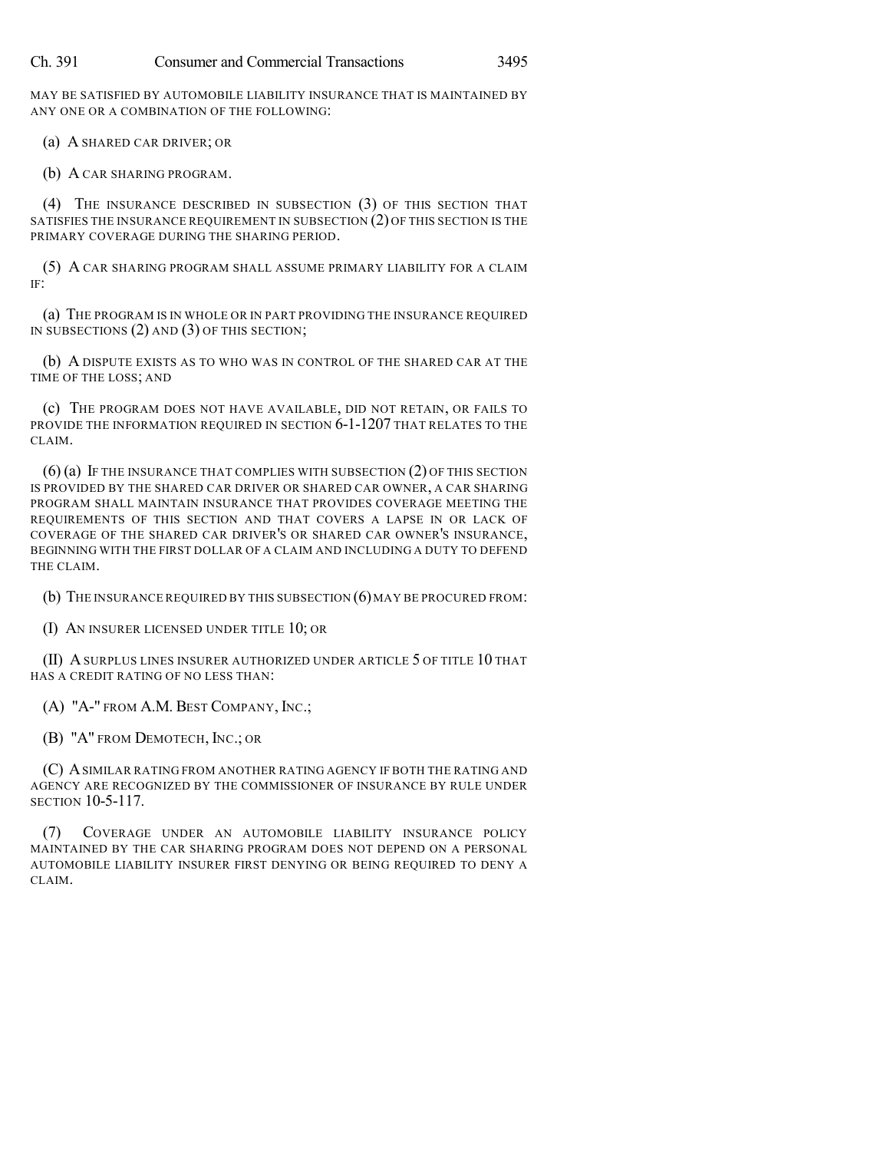MAY BE SATISFIED BY AUTOMOBILE LIABILITY INSURANCE THAT IS MAINTAINED BY ANY ONE OR A COMBINATION OF THE FOLLOWING:

(a) A SHARED CAR DRIVER; OR

(b) A CAR SHARING PROGRAM.

(4) THE INSURANCE DESCRIBED IN SUBSECTION (3) OF THIS SECTION THAT SATISFIES THE INSURANCE REQUIREMENT IN SUBSECTION (2) OF THIS SECTION IS THE PRIMARY COVERAGE DURING THE SHARING PERIOD.

(5) A CAR SHARING PROGRAM SHALL ASSUME PRIMARY LIABILITY FOR A CLAIM IF:

(a) THE PROGRAM IS IN WHOLE OR IN PART PROVIDING THE INSURANCE REQUIRED IN SUBSECTIONS (2) AND (3) OF THIS SECTION;

(b) A DISPUTE EXISTS AS TO WHO WAS IN CONTROL OF THE SHARED CAR AT THE TIME OF THE LOSS; AND

(c) THE PROGRAM DOES NOT HAVE AVAILABLE, DID NOT RETAIN, OR FAILS TO PROVIDE THE INFORMATION REQUIRED IN SECTION 6-1-1207 THAT RELATES TO THE CLAIM.

(6) (a) IF THE INSURANCE THAT COMPLIES WITH SUBSECTION (2) OF THIS SECTION IS PROVIDED BY THE SHARED CAR DRIVER OR SHARED CAR OWNER, A CAR SHARING PROGRAM SHALL MAINTAIN INSURANCE THAT PROVIDES COVERAGE MEETING THE REQUIREMENTS OF THIS SECTION AND THAT COVERS A LAPSE IN OR LACK OF COVERAGE OF THE SHARED CAR DRIVER'S OR SHARED CAR OWNER'S INSURANCE, BEGINNING WITH THE FIRST DOLLAR OF A CLAIM AND INCLUDING A DUTY TO DEFEND THE CLAIM.

(b) THE INSURANCE REQUIRED BY THIS SUBSECTION (6)MAY BE PROCURED FROM:

(I) AN INSURER LICENSED UNDER TITLE 10; OR

(II) A SURPLUS LINES INSURER AUTHORIZED UNDER ARTICLE 5 OF TITLE 10 THAT HAS A CREDIT RATING OF NO LESS THAN:

(A) "A-" FROM A.M. BEST COMPANY, INC.;

(B) "A" FROM DEMOTECH, INC.; OR

(C) ASIMILAR RATING FROM ANOTHER RATING AGENCY IF BOTH THE RATING AND AGENCY ARE RECOGNIZED BY THE COMMISSIONER OF INSURANCE BY RULE UNDER SECTION 10-5-117.

(7) COVERAGE UNDER AN AUTOMOBILE LIABILITY INSURANCE POLICY MAINTAINED BY THE CAR SHARING PROGRAM DOES NOT DEPEND ON A PERSONAL AUTOMOBILE LIABILITY INSURER FIRST DENYING OR BEING REQUIRED TO DENY A CLAIM.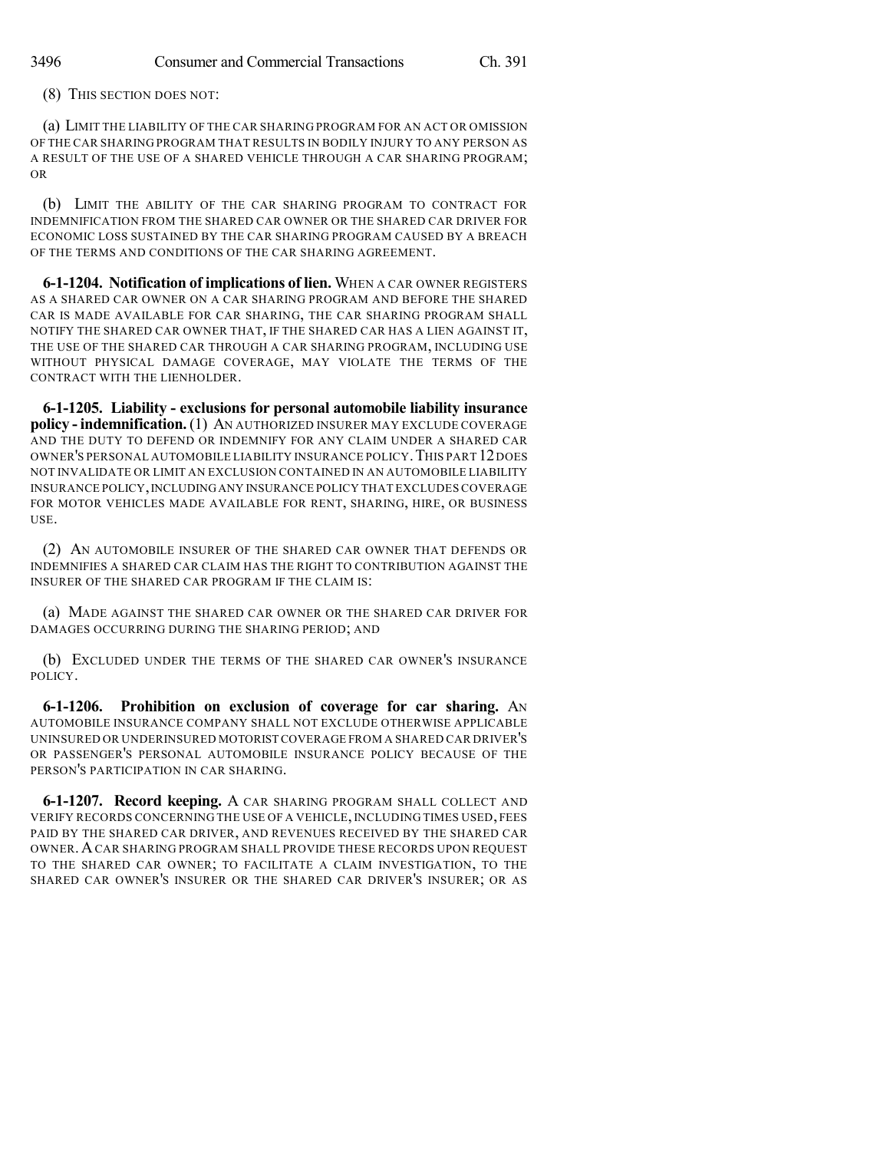(8) THIS SECTION DOES NOT:

(a) LIMIT THE LIABILITY OF THE CAR SHARING PROGRAM FOR AN ACT OR OMISSION OF THE CAR SHARING PROGRAM THAT RESULTS IN BODILY INJURY TO ANY PERSON AS A RESULT OF THE USE OF A SHARED VEHICLE THROUGH A CAR SHARING PROGRAM; OR

(b) LIMIT THE ABILITY OF THE CAR SHARING PROGRAM TO CONTRACT FOR INDEMNIFICATION FROM THE SHARED CAR OWNER OR THE SHARED CAR DRIVER FOR ECONOMIC LOSS SUSTAINED BY THE CAR SHARING PROGRAM CAUSED BY A BREACH OF THE TERMS AND CONDITIONS OF THE CAR SHARING AGREEMENT.

**6-1-1204. Notification of implications of lien.** WHEN A CAR OWNER REGISTERS AS A SHARED CAR OWNER ON A CAR SHARING PROGRAM AND BEFORE THE SHARED CAR IS MADE AVAILABLE FOR CAR SHARING, THE CAR SHARING PROGRAM SHALL NOTIFY THE SHARED CAR OWNER THAT, IF THE SHARED CAR HAS A LIEN AGAINST IT, THE USE OF THE SHARED CAR THROUGH A CAR SHARING PROGRAM, INCLUDING USE WITHOUT PHYSICAL DAMAGE COVERAGE, MAY VIOLATE THE TERMS OF THE CONTRACT WITH THE LIENHOLDER.

**6-1-1205. Liability - exclusions for personal automobile liability insurance policy - indemnification.** (1) AN AUTHORIZED INSURER MAY EXCLUDE COVERAGE AND THE DUTY TO DEFEND OR INDEMNIFY FOR ANY CLAIM UNDER A SHARED CAR OWNER'S PERSONAL AUTOMOBILE LIABILITY INSURANCE POLICY.THIS PART 12DOES NOT INVALIDATE OR LIMIT AN EXCLUSION CONTAINED IN AN AUTOMOBILE LIABILITY INSURANCE POLICY,INCLUDINGANY INSURANCE POLICY THAT EXCLUDES COVERAGE FOR MOTOR VEHICLES MADE AVAILABLE FOR RENT, SHARING, HIRE, OR BUSINESS USE.

(2) AN AUTOMOBILE INSURER OF THE SHARED CAR OWNER THAT DEFENDS OR INDEMNIFIES A SHARED CAR CLAIM HAS THE RIGHT TO CONTRIBUTION AGAINST THE INSURER OF THE SHARED CAR PROGRAM IF THE CLAIM IS:

(a) MADE AGAINST THE SHARED CAR OWNER OR THE SHARED CAR DRIVER FOR DAMAGES OCCURRING DURING THE SHARING PERIOD; AND

(b) EXCLUDED UNDER THE TERMS OF THE SHARED CAR OWNER'S INSURANCE POLICY.

**6-1-1206. Prohibition on exclusion of coverage for car sharing.** AN AUTOMOBILE INSURANCE COMPANY SHALL NOT EXCLUDE OTHERWISE APPLICABLE UNINSURED OR UNDERINSURED MOTORIST COVERAGE FROM A SHARED CAR DRIVER'S OR PASSENGER'S PERSONAL AUTOMOBILE INSURANCE POLICY BECAUSE OF THE PERSON'S PARTICIPATION IN CAR SHARING.

**6-1-1207. Record keeping.** A CAR SHARING PROGRAM SHALL COLLECT AND VERIFY RECORDS CONCERNING THE USE OF A VEHICLE,INCLUDING TIMES USED, FEES PAID BY THE SHARED CAR DRIVER, AND REVENUES RECEIVED BY THE SHARED CAR OWNER.ACAR SHARING PROGRAM SHALL PROVIDE THESE RECORDS UPON REQUEST TO THE SHARED CAR OWNER; TO FACILITATE A CLAIM INVESTIGATION, TO THE SHARED CAR OWNER'S INSURER OR THE SHARED CAR DRIVER'S INSURER; OR AS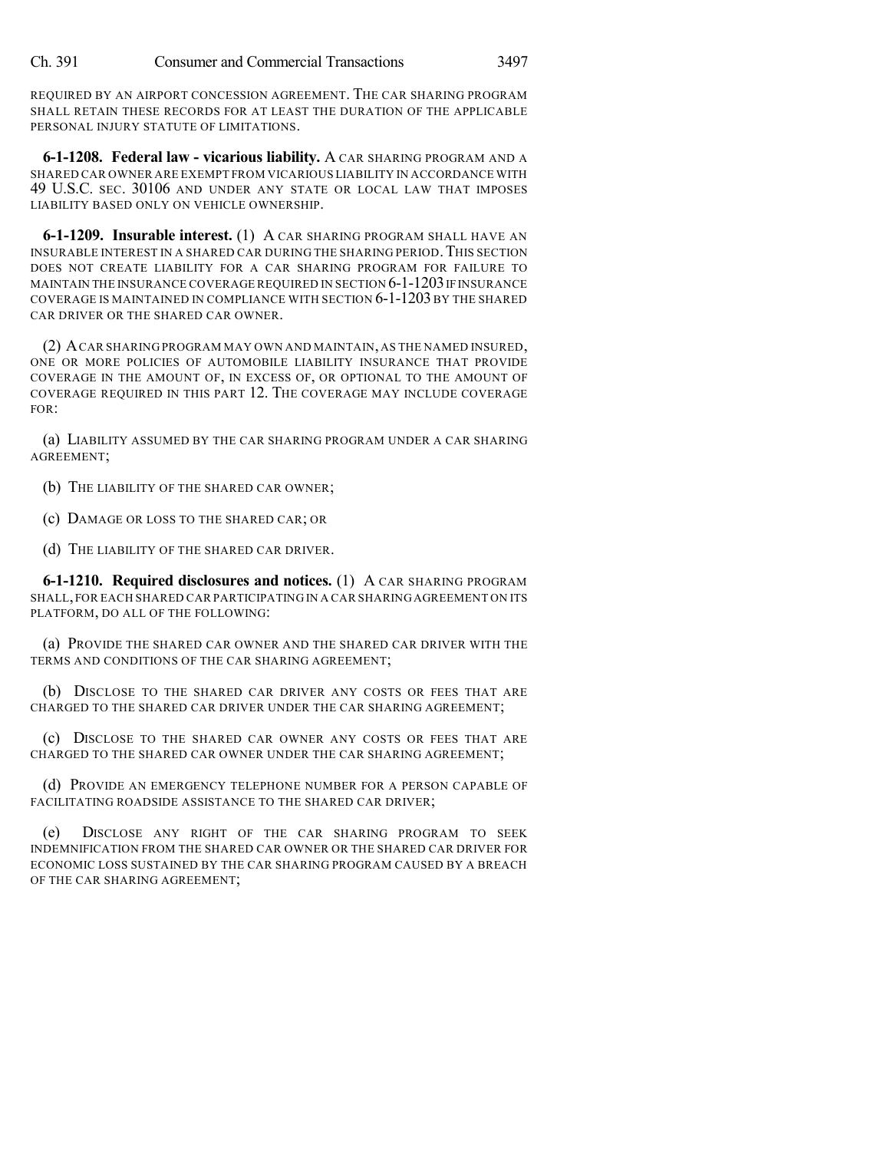REQUIRED BY AN AIRPORT CONCESSION AGREEMENT. THE CAR SHARING PROGRAM SHALL RETAIN THESE RECORDS FOR AT LEAST THE DURATION OF THE APPLICABLE PERSONAL INJURY STATUTE OF LIMITATIONS.

**6-1-1208. Federal law - vicarious liability.** A CAR SHARING PROGRAM AND A SHARED CAR OWNER ARE EXEMPT FROM VICARIOUS LIABILITY IN ACCORDANCE WITH 49 U.S.C. SEC. 30106 AND UNDER ANY STATE OR LOCAL LAW THAT IMPOSES LIABILITY BASED ONLY ON VEHICLE OWNERSHIP.

**6-1-1209. Insurable interest.** (1) A CAR SHARING PROGRAM SHALL HAVE AN INSURABLE INTEREST IN A SHARED CAR DURING THE SHARING PERIOD.THIS SECTION DOES NOT CREATE LIABILITY FOR A CAR SHARING PROGRAM FOR FAILURE TO MAINTAIN THE INSURANCE COVERAGE REQUIRED IN SECTION 6-1-1203 IF INSURANCE COVERAGE IS MAINTAINED IN COMPLIANCE WITH SECTION 6-1-1203 BY THE SHARED CAR DRIVER OR THE SHARED CAR OWNER.

(2) ACAR SHARING PROGRAM MAY OWN AND MAINTAIN, AS THE NAMED INSURED, ONE OR MORE POLICIES OF AUTOMOBILE LIABILITY INSURANCE THAT PROVIDE COVERAGE IN THE AMOUNT OF, IN EXCESS OF, OR OPTIONAL TO THE AMOUNT OF COVERAGE REQUIRED IN THIS PART 12. THE COVERAGE MAY INCLUDE COVERAGE FOR:

(a) LIABILITY ASSUMED BY THE CAR SHARING PROGRAM UNDER A CAR SHARING AGREEMENT;

(b) THE LIABILITY OF THE SHARED CAR OWNER;

(c) DAMAGE OR LOSS TO THE SHARED CAR; OR

(d) THE LIABILITY OF THE SHARED CAR DRIVER.

**6-1-1210. Required disclosures and notices.** (1) A CAR SHARING PROGRAM SHALL,FOR EACH SHARED CAR PARTICIPATING IN A CAR SHARINGAGREEMENT ON ITS PLATFORM, DO ALL OF THE FOLLOWING:

(a) PROVIDE THE SHARED CAR OWNER AND THE SHARED CAR DRIVER WITH THE TERMS AND CONDITIONS OF THE CAR SHARING AGREEMENT;

(b) DISCLOSE TO THE SHARED CAR DRIVER ANY COSTS OR FEES THAT ARE CHARGED TO THE SHARED CAR DRIVER UNDER THE CAR SHARING AGREEMENT;

(c) DISCLOSE TO THE SHARED CAR OWNER ANY COSTS OR FEES THAT ARE CHARGED TO THE SHARED CAR OWNER UNDER THE CAR SHARING AGREEMENT;

(d) PROVIDE AN EMERGENCY TELEPHONE NUMBER FOR A PERSON CAPABLE OF FACILITATING ROADSIDE ASSISTANCE TO THE SHARED CAR DRIVER;

(e) DISCLOSE ANY RIGHT OF THE CAR SHARING PROGRAM TO SEEK INDEMNIFICATION FROM THE SHARED CAR OWNER OR THE SHARED CAR DRIVER FOR ECONOMIC LOSS SUSTAINED BY THE CAR SHARING PROGRAM CAUSED BY A BREACH OF THE CAR SHARING AGREEMENT;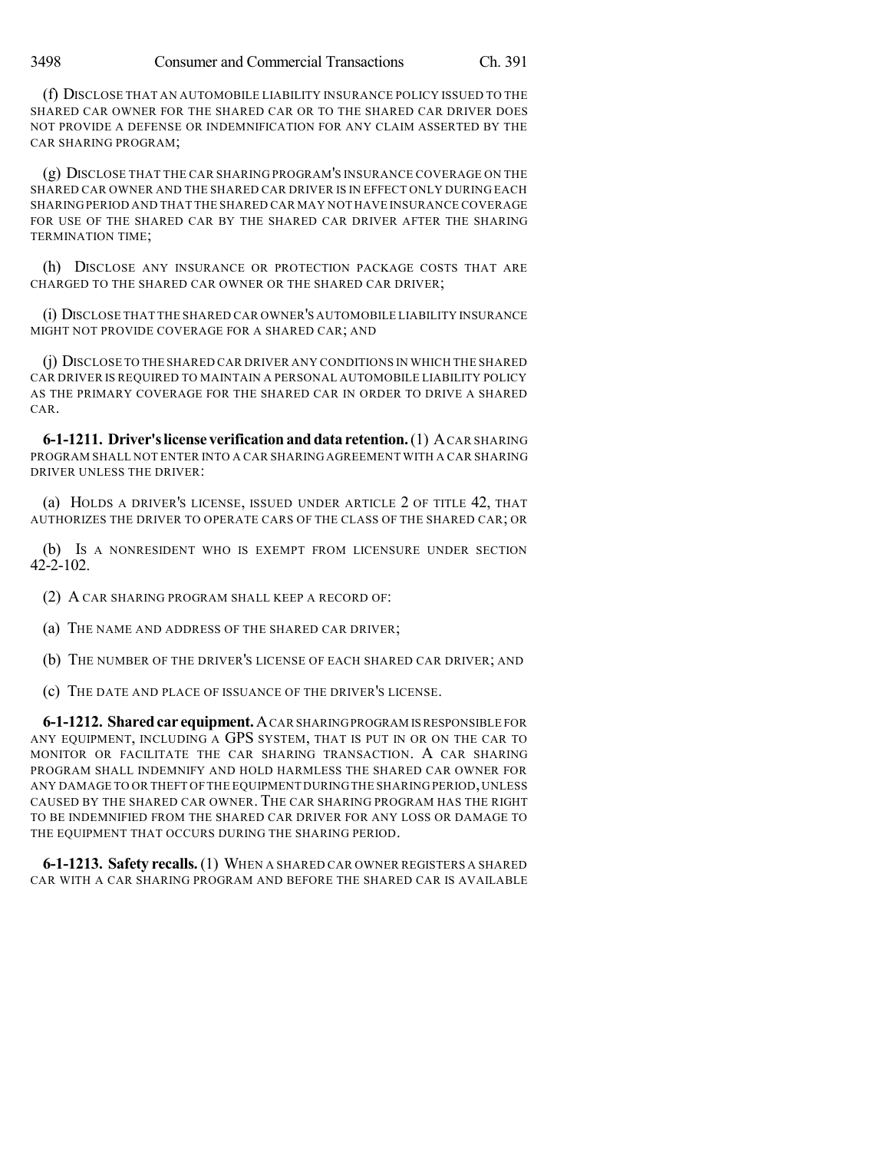(f) DISCLOSE THAT AN AUTOMOBILE LIABILITY INSURANCE POLICY ISSUED TO THE SHARED CAR OWNER FOR THE SHARED CAR OR TO THE SHARED CAR DRIVER DOES NOT PROVIDE A DEFENSE OR INDEMNIFICATION FOR ANY CLAIM ASSERTED BY THE CAR SHARING PROGRAM;

(g) DISCLOSE THAT THE CAR SHARING PROGRAM'S INSURANCE COVERAGE ON THE SHARED CAR OWNER AND THE SHARED CAR DRIVER IS IN EFFECT ONLY DURING EACH SHARINGPERIOD AND THAT THE SHARED CAR MAY NOT HAVE INSURANCE COVERAGE FOR USE OF THE SHARED CAR BY THE SHARED CAR DRIVER AFTER THE SHARING TERMINATION TIME;

(h) DISCLOSE ANY INSURANCE OR PROTECTION PACKAGE COSTS THAT ARE CHARGED TO THE SHARED CAR OWNER OR THE SHARED CAR DRIVER;

(i) DISCLOSE THAT THE SHARED CAR OWNER'S AUTOMOBILE LIABILITY INSURANCE MIGHT NOT PROVIDE COVERAGE FOR A SHARED CAR; AND

(j) DISCLOSE TO THE SHARED CAR DRIVER ANY CONDITIONS IN WHICH THE SHARED CAR DRIVER IS REQUIRED TO MAINTAIN A PERSONAL AUTOMOBILE LIABILITY POLICY AS THE PRIMARY COVERAGE FOR THE SHARED CAR IN ORDER TO DRIVE A SHARED CAR.

**6-1-1211. Driver'slicense verificationanddata retention.**(1) ACAR SHARING PROGRAM SHALL NOT ENTER INTO A CAR SHARING AGREEMENT WITH A CAR SHARING DRIVER UNLESS THE DRIVER:

(a) HOLDS A DRIVER'S LICENSE, ISSUED UNDER ARTICLE 2 OF TITLE 42, THAT AUTHORIZES THE DRIVER TO OPERATE CARS OF THE CLASS OF THE SHARED CAR; OR

(b) IS A NONRESIDENT WHO IS EXEMPT FROM LICENSURE UNDER SECTION 42-2-102.

(2) A CAR SHARING PROGRAM SHALL KEEP A RECORD OF:

(a) THE NAME AND ADDRESS OF THE SHARED CAR DRIVER;

(b) THE NUMBER OF THE DRIVER'S LICENSE OF EACH SHARED CAR DRIVER; AND

(c) THE DATE AND PLACE OF ISSUANCE OF THE DRIVER'S LICENSE.

**6-1-1212. Sharedcar equipment.**ACAR SHARINGPROGRAM ISRESPONSIBLE FOR ANY EQUIPMENT, INCLUDING A GPS SYSTEM, THAT IS PUT IN OR ON THE CAR TO MONITOR OR FACILITATE THE CAR SHARING TRANSACTION. A CAR SHARING PROGRAM SHALL INDEMNIFY AND HOLD HARMLESS THE SHARED CAR OWNER FOR ANY DAMAGE TO OR THEFT OF THE EQUIPMENT DURINGTHE SHARING PERIOD,UNLESS CAUSED BY THE SHARED CAR OWNER. THE CAR SHARING PROGRAM HAS THE RIGHT TO BE INDEMNIFIED FROM THE SHARED CAR DRIVER FOR ANY LOSS OR DAMAGE TO THE EQUIPMENT THAT OCCURS DURING THE SHARING PERIOD.

**6-1-1213. Safety recalls.**(1) WHEN A SHARED CAR OWNER REGISTERS A SHARED CAR WITH A CAR SHARING PROGRAM AND BEFORE THE SHARED CAR IS AVAILABLE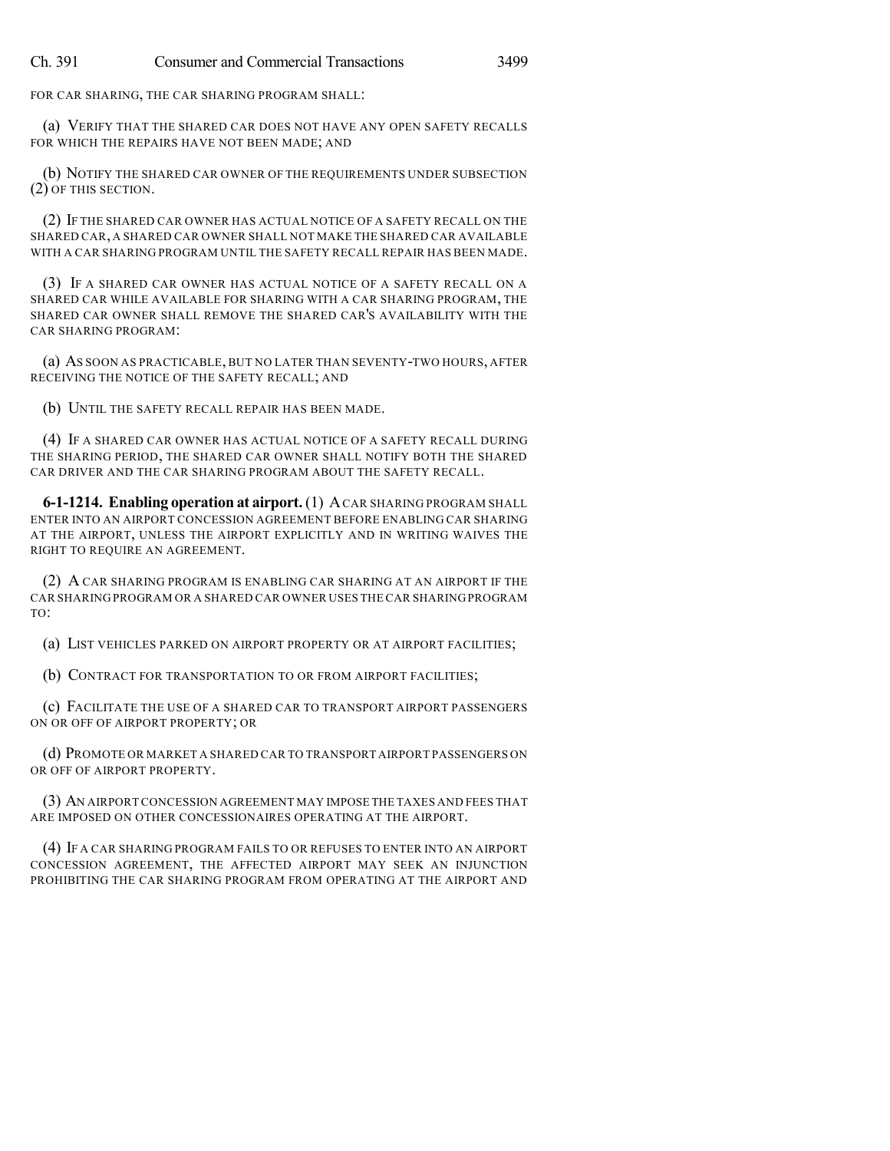FOR CAR SHARING, THE CAR SHARING PROGRAM SHALL:

(a) VERIFY THAT THE SHARED CAR DOES NOT HAVE ANY OPEN SAFETY RECALLS FOR WHICH THE REPAIRS HAVE NOT BEEN MADE; AND

(b) NOTIFY THE SHARED CAR OWNER OF THE REQUIREMENTS UNDER SUBSECTION (2) OF THIS SECTION.

(2) IF THE SHARED CAR OWNER HAS ACTUAL NOTICE OF A SAFETY RECALL ON THE SHARED CAR, A SHARED CAR OWNER SHALL NOT MAKE THE SHARED CAR AVAILABLE WITH A CAR SHARING PROGRAM UNTIL THE SAFETY RECALL REPAIR HAS BEEN MADE.

(3) IF A SHARED CAR OWNER HAS ACTUAL NOTICE OF A SAFETY RECALL ON A SHARED CAR WHILE AVAILABLE FOR SHARING WITH A CAR SHARING PROGRAM, THE SHARED CAR OWNER SHALL REMOVE THE SHARED CAR'S AVAILABILITY WITH THE CAR SHARING PROGRAM:

(a) AS SOON AS PRACTICABLE, BUT NO LATER THAN SEVENTY-TWO HOURS, AFTER RECEIVING THE NOTICE OF THE SAFETY RECALL; AND

(b) UNTIL THE SAFETY RECALL REPAIR HAS BEEN MADE.

(4) IF A SHARED CAR OWNER HAS ACTUAL NOTICE OF A SAFETY RECALL DURING THE SHARING PERIOD, THE SHARED CAR OWNER SHALL NOTIFY BOTH THE SHARED CAR DRIVER AND THE CAR SHARING PROGRAM ABOUT THE SAFETY RECALL.

**6-1-1214. Enabling operation at airport.** (1) ACAR SHARING PROGRAM SHALL ENTER INTO AN AIRPORT CONCESSION AGREEMENT BEFORE ENABLING CAR SHARING AT THE AIRPORT, UNLESS THE AIRPORT EXPLICITLY AND IN WRITING WAIVES THE RIGHT TO REQUIRE AN AGREEMENT.

(2) A CAR SHARING PROGRAM IS ENABLING CAR SHARING AT AN AIRPORT IF THE CAR SHARING PROGRAM OR A SHARED CAR OWNER USES THE CAR SHARINGPROGRAM TO:

(a) LIST VEHICLES PARKED ON AIRPORT PROPERTY OR AT AIRPORT FACILITIES;

(b) CONTRACT FOR TRANSPORTATION TO OR FROM AIRPORT FACILITIES;

(c) FACILITATE THE USE OF A SHARED CAR TO TRANSPORT AIRPORT PASSENGERS ON OR OFF OF AIRPORT PROPERTY; OR

(d) PROMOTE OR MARKET A SHARED CAR TO TRANSPORT AIRPORT PASSENGERS ON OR OFF OF AIRPORT PROPERTY.

(3) AN AIRPORT CONCESSION AGREEMENT MAY IMPOSE THE TAXES AND FEES THAT ARE IMPOSED ON OTHER CONCESSIONAIRES OPERATING AT THE AIRPORT.

(4) IF A CAR SHARING PROGRAM FAILS TO OR REFUSES TO ENTER INTO AN AIRPORT CONCESSION AGREEMENT, THE AFFECTED AIRPORT MAY SEEK AN INJUNCTION PROHIBITING THE CAR SHARING PROGRAM FROM OPERATING AT THE AIRPORT AND